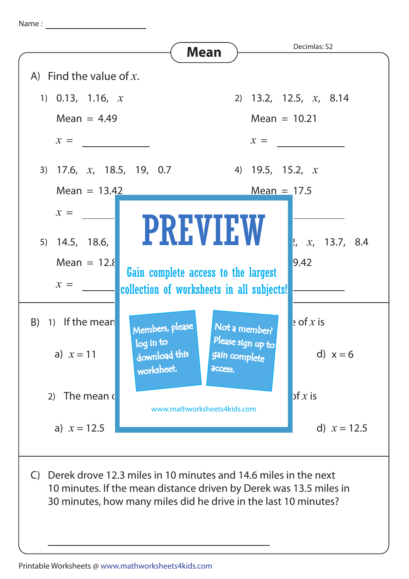Name : <u>\_\_\_\_\_\_\_\_\_\_\_\_\_\_\_\_\_\_\_\_\_\_\_</u>